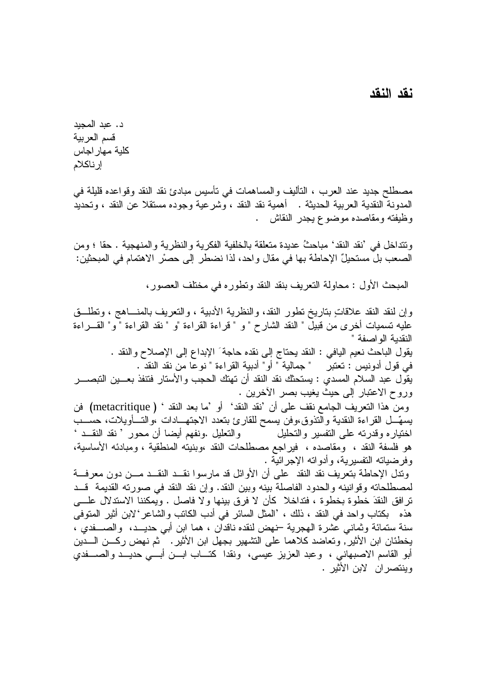## نقد النقد

وينتصر ان لابن الأثير .

د. عد المجد قسم العربية كلية مهار اجاس إرناكلام

مصطلح جديد عند العرب ، التأليف والمساهمات في تأسيس مبادئ نقد النقد وقواعده قليلة في المدونة النقدية العربية الحديثة . أهمية نقد النقد ، وشرعية وجوده مستقلا عن النقد ، وتحديد وظيفته ومقاصده موضوع يجدر النقاش .

وتتداخل في 'نقد النقد' مباحثُ عديدة متعلقة بالخلفية الفكرية والنظرية والمنهجية . حقا ؛ ومن 

المبحث الأول : محاولة النعريف بنقد النقد ونطوره في مختلف العصور ،

وإن لنقد النقد علاقاتٍ بناريخ نطور النقد، والنظرية الأدبية ، والنعريف بالمنساهج ، ونطلَّــق عليه تسميات أخرى من قبيل " النقد الشارح " و " قراءة القراءة "و " نقد القراءة " و" القـــراءة النقدية الو اصفة " يقول الباحث نعيم اليافي : النقد يحتاج إلى نقده حاجة َ الإبداع إلى الإصلاح والنقد . في قول أدونيس : تعتبر " جمالية " أو " أدبية القراءة " نوعاً من نقد النقد . يقُول عبد السلام المسدى : يستحثك نقد النقد أن تهتك الحجب والأستار فتنفذ بعـــين التبصــــر وروح الاعتبار إلى حيث يغيب بصر الأخرين . ومن هذا التعريف الجامع نقف على أن 'نقد النقد' أو 'ما بعد النقد ' ( metacritique) فن يسهَّــل القراءة النقدية والتذوق،وفن يسمح للقارئ بتعدد الاجتهـــادات ،والتـــأويلات، حســـب والتعليل .ونفهم أيضا أن محور ' نقد النقــد ' اختياره وقدرته على التفسير والتحليل هو فلسفة النقد ، ومقاصده ، فيراجع مصطلحات النقد ،وبنيته المنطقية ، ومبادئه الأساسية، وفرضياته التفسيرية، وأدواته الإجرائية . وندل الإحاطة بتعريف نقد النقد ً على أن الأوائل قد مارسوا نقــد النقــد مـــن دون معرفـــة لمصطلحاته وقوانينه والحدود الفاصلة بينه وبين النقد. وإن نقد النقد في صورته القديمة قــد ترافق النقدَ خطوة بخطوة ، فتداخلا كأن لا فرق بينها ولا فاصل . ويمكننا الاستدلال علــــى هذه \_ بكتاب و احد في النقد ، ذلك ، 'المثل السائر في أدب الكاتب و الشاعر 'لابن أثير المتوفى سنة ستمائة وثماني عشرة الهجرية –نهض لنقده ناقدان ، هما ابن أبي حديـــد، والصــــفدي ، يخطئان ابن الأثير ً, وتعاضد كلاهما على التشهير بجهل ابن الأثير . ٱ ثم نهض ركـــن الـــدين أبو القاسم الاصبهاني ، وعبد العزيز عيسى، ونقدا كتـــاب ابـــن أبــــى حديـــد والصــــفدي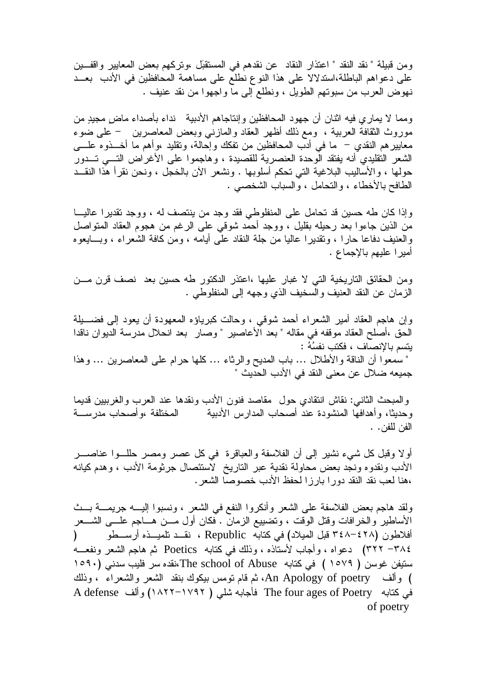ومن قبيلة " نقد النقد " اعتذار النقاد عن نقدهم في المستقبّل ،وتركهم بعض المعايير واقفـــين على دعواهم الباطلة،اسندلالا على هذا النوع نطلع على مساهمة المحافظين في الأدب بعــد نهوض العرب من سبوتهم الطويل ، ونطلع إلى ما واجهوا من نقد عنيف .

ومما لا يماري فيه انثان أن جهود المحافظين وإنتاجاهم الأدبية نداء بأصداء ماضٍ مجيدٍ من موروث الثقافة العربية ، ومع ذلك أظهر العقاد والمازنـى وبعض المعاصرين – علـى ضوء معايير هم النقدي – ما في أدب المحافظين من نفكك وإحالة، ونقليد ،وأهم ما أخـــذوه علــــي الشعر النقليدي أنه يفتقد الوحدة العنصرية للقصيدة ، وهاجموا على الأغراض التسى تــدور حولها ، والأساليب البلاغية التي تحكم أسلوبها . ونشعر الآن بالخجل ، ونحن نقرأ هذا النقــد الطافح بالأخطاء ، والتحامل ، والسباب الشخصبي .

وإذا كان طه حسين قد تحامل على المنفلوطي فقد وجد من ينتصف له ، ووجد تقديرا عاليـــا من الذين جاءوا بعد رحيله بقليل ، ووجد أحمد شوقي على الرغم من هجوم العقاد المنواصل والعنيف دفاعا حارًا ، وتقديرًا عاليًا من جلَّة النقاد علَّى أيامه ، ومَن كافة الشَّعراء ، وبـــايعوه اميرا عليهم بالإجماع .

ومن الحقائق الناريخية التي لا غبار عليها ،اعتذر الدكتور طه حسين بعد نصف قرن مـــن الزمان عن النقد العنيف والسخيف الذي وجهه إلى المنفلوطي .

وإن هاجم العقاد أمير الشعراء أحمد شوقي ، وحالت كبرياؤه المعهودة أن يعود إلى فضــــيلة الحق ،أصلح العقاد موقفه في مقاله " بعد الأعاصير " وصار بعد انحلال مدرسة الديوان ناقدا يتسم بالإنصاف ، فكتب نفسُهُ : " سُمعوًا أن الناقة والأطلال … باب المديح والرثاء … كلها حرام على المعاصرين … وهذا جميعه ضلال عن معنى النقد في الأدب الحديث "

والمبحث الثانبي: نقاش انتقادي حول ً مقاصد فنون الأدب ونقدها عند العرب والغرببين قديما المختلفة ،وأصحاب مدرســـة وحديثا، وأهدافها المنشودة عند أصحاب المدارس الأدبية الفن للفن. .

أولاً وقبل كل شيء نشيرٍ إلى أن الفلاسفة والعباقرة ۖ في كل عصرٍ ومصرٍ حللــوا عناصـــرٍ الأدب ونقدوه ونجد بعض محاولة نقدية عبر التاريخ لاستئصال جرثومة الأدب ، وهدم كيانه ،هنا لعب نقد النقد دورا بارزا لحفظ الأدب خصوصا الشعر .

ولقد هاجم بعض الفلاسفة على الشعر وأنكروا النفع في الشعر ، ونسبوا إليـــه جريمـــة بـــث الأساطير والخرافات وقتل الوقت ، وتضييع الزمان . فكان أول مـــن هـــاجم علــــى الشــــعر أفلاطون (٣٤٨–٣٤٨ قبل الميلاد) في كتابه Republic ، نقــد نلميـــذه أرســــطو ( ٣٨٤– ٣٢٢) دعواه ، وأجاب لأستاذه ، وذلك في كتابه Poetics ثم هاجم الشعر ونفعـــه ستيفن غوسن ( ١٥٧٩ ) في كتابه The school of Abuse،نقده سر فليب سدني (١٥٩٠ ) وألف An Apology of poetry، ثم قام نومس بيكوك بنقد الشعر والشعراء ، وذلك في كتابه The four ages of Poetry فأجابه شلي ( ١٧٩٢–١٨٢٢) وألف A defense of poetry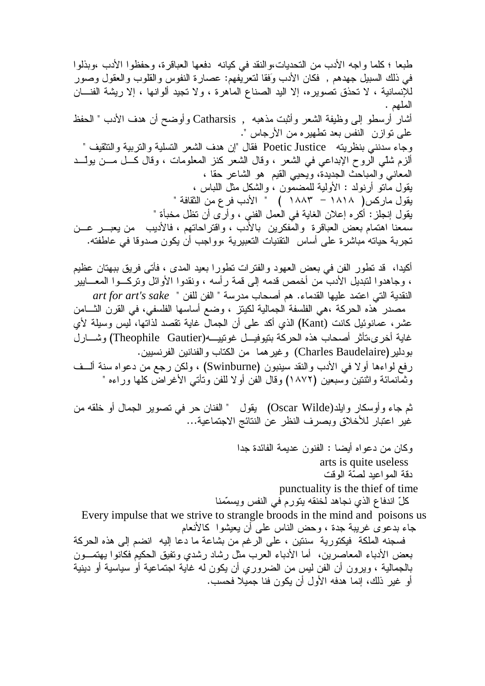طبعا ؛ كلما واجه الأدب من التحديات،والنقد في كيانه دفعها العباقرة، وحفظوا الأدب ،وبذلوا في ذلك السبيل جهدهم , فكان الأدب وَفقا لنعريفهم: عصارة النفوس والقلوب والعقول وصور للإنسانية ، لا تحذق تصويره، إلا اليد الصناع الماهرة ، ولا تجيد ألوانها ، إلا ريشة الفنـــان الملهم . أشار أرسطو إلى وظيفة الشعر وأثبت مذهبه , Catharsis وأوضح أن هدف الأدب " الحفظ على نوازن النفس بعد نطهيره من الأرجاس ". وجاء سدنني بنظريته Poetic Justice فقال "إن هدف الشعر التسلية والتربية والتثقيف " ألزم شلَّى الروح الإبداعي في الشعر ، وقال الشعر كنز المعلومات ، وقال كـــل مـــن بولَّـــد المعاني والمباحث الجديدة، ويحيى القيم هو الشاعر حقا ، يقول مانو أرنولد : الأولية للمضمون ، والشكل مثل اللباس ، يقول ماركس( ١٨١٨ – ١٨٨٣ ) " الأدب فر ع من الثقافة " يقول إنجلز : أكره إعلان الغاية في العمل الفني ، وأرى أن نظل مخبأة " سمعنا اهتمام بعض العباقرة والمفكرين بالأدب ، واقتراحاتهم ، فالأديب ً من يعبـــر عـــن تجربة حياته مباشرة على أساس التقنيات التعبيرية ،وواجب أن يكون صدوقا في عاطفته.

أكيدا، ۖ قد نطور الفن في بعض العهود والفترات نطورا بعيد المدى ، فأتى فريق ببهتان عظيم ، وجاهدوا لتبديل الأدب من أخمص قدمه إلى قمة رأسه ، ونقدوا الأوائل وتركـــوا المعــــابير النقدية التي اعتمد عليها القدماء. هم أصحاب مدرسة " الفن للفن " art for art's sake مصدر هذه الحركة ،هي الفلسفة الجمالية لكيتز ، وضع أساسها الفلسفي، في القرن الشَّــامن عشر ، عمانوئيل كانت (Kant) الذي أكد على أن الجمال غاية تقصد لذاتها، ليس وسيلة لأي غاية أخرى،تأثر أصحاب هذه الحركة بتيوفيـــل غونييــــه(Theophile Gautier) وشــــارل بودلير (Charles Baudelaire) وغير هما ً من الكتاب والفنانين الفرنسيين. رفع لواءها أولا في الأدب والنقد سينبون (Swinburne) ، ولكن رجع من دعواه سنة ألسف وثمَّانمائة واثنتين وْسبعين (١٨٧٢) وقال الفن أولا للفن ونأنـى الأغراضُّ كلها وراءه "

ثم جاء وأوسكار وابلد(Oscar Wilde) يقول " الفنان حر في نصوير الجمال أو خلقه من غير اعتبار للأخلاق وبصرف النظر عن النتائج الاجتماعية...

> وكان من دعواه أيضا : الفنون عديمة الفائدة جدا arts is quite useless دقة المواعيد لصنّة الوقت punctuality is the thief of time كلِّ اندفاع الذي نجاهد لخنقه يتورم في النفس ويسمّمنا

Every impulse that we strive to strangle broods in the mind and poisons us جاء بدعوى غريبة جدة ، وحض الناس على أن يعيشوا كالأنعام

فسجنه الملكة فيكتورية سنتين ، على الرغم من بشاعة ما دعا إليه انضم إلى هذه الحركة بعض الأدباء المعاصرين، أما الأدباء العرب مثل رشاد رشدي ونفيق الحكيم فكانوا بهتمـــون بالجمالية ، ويرون أن الفن ليس من الضروري أن يكون له غاية اجتماعية أو سياسية أو دينية أو غير ذلك، إنما هدفه الأول أن يكون فنا جميلا فحسب.